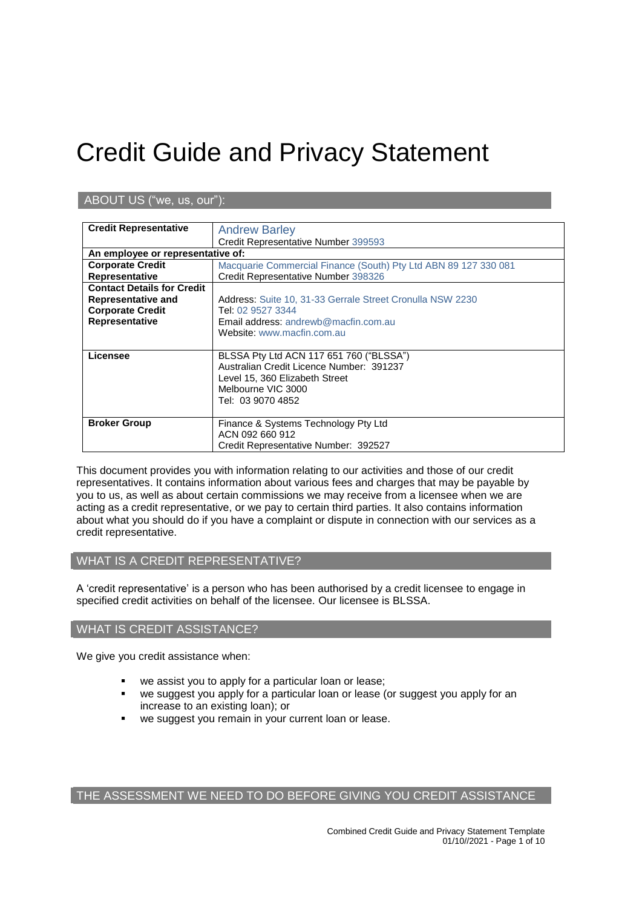# Credit Guide and Privacy Statement

# ABOUT US ("we, us, our"):

| <b>Credit Representative</b>      | <b>Andrew Barley</b>                                            |
|-----------------------------------|-----------------------------------------------------------------|
|                                   | Credit Representative Number 399593                             |
| An employee or representative of: |                                                                 |
| <b>Corporate Credit</b>           | Macquarie Commercial Finance (South) Pty Ltd ABN 89 127 330 081 |
| <b>Representative</b>             | Credit Representative Number 398326                             |
| <b>Contact Details for Credit</b> |                                                                 |
| Representative and                | Address: Suite 10, 31-33 Gerrale Street Cronulla NSW 2230       |
| <b>Corporate Credit</b>           | Tel: 02 9527 3344                                               |
| Representative                    | Email address: andrewb@macfin.com.au                            |
|                                   | Website: www.macfin.com.au                                      |
|                                   |                                                                 |
| Licensee                          | BLSSA Pty Ltd ACN 117 651 760 ("BLSSA")                         |
|                                   | Australian Credit Licence Number: 391237                        |
|                                   | Level 15, 360 Elizabeth Street                                  |
|                                   | Melbourne VIC 3000                                              |
|                                   | Tel: 03 9070 4852                                               |
|                                   |                                                                 |
| <b>Broker Group</b>               | Finance & Systems Technology Pty Ltd                            |
|                                   | ACN 092 660 912                                                 |
|                                   | Credit Representative Number: 392527                            |

This document provides you with information relating to our activities and those of our credit representatives. It contains information about various fees and charges that may be payable by you to us, as well as about certain commissions we may receive from a licensee when we are acting as a credit representative, or we pay to certain third parties. It also contains information about what you should do if you have a complaint or dispute in connection with our services as a credit representative.

# WHAT IS A CREDIT REPRESENTATIVE?

A 'credit representative' is a person who has been authorised by a credit licensee to engage in specified credit activities on behalf of the licensee. Our licensee is BLSSA.

# WHAT IS CREDIT ASSISTANCE?

We give you credit assistance when:

- we assist you to apply for a particular loan or lease;
- we suggest you apply for a particular loan or lease (or suggest you apply for an increase to an existing loan); or
- we suggest you remain in your current loan or lease.

# THE ASSESSMENT WE NEED TO DO BEFORE GIVING YOU CREDIT ASSISTANCE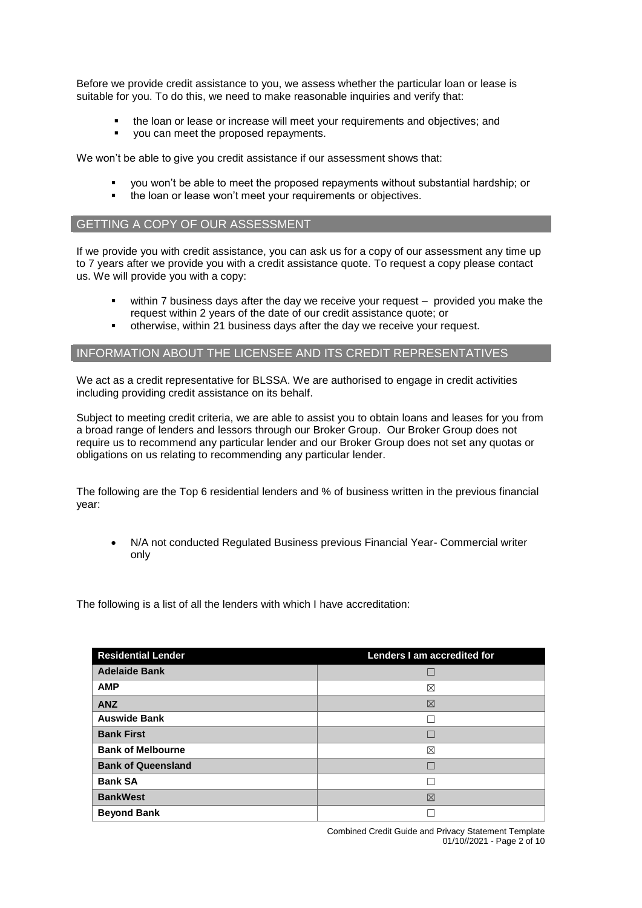Before we provide credit assistance to you, we assess whether the particular loan or lease is suitable for you. To do this, we need to make reasonable inquiries and verify that:

- the loan or lease or increase will meet your requirements and objectives; and
- vou can meet the proposed repayments.

We won't be able to give you credit assistance if our assessment shows that:

- you won't be able to meet the proposed repayments without substantial hardship; or
- the loan or lease won't meet your requirements or objectives.

# GETTING A COPY OF OUR ASSESSMENT

If we provide you with credit assistance, you can ask us for a copy of our assessment any time up to 7 years after we provide you with a credit assistance quote. To request a copy please contact us. We will provide you with a copy:

- within 7 business days after the day we receive your request provided you make the request within 2 years of the date of our credit assistance quote; or
- otherwise, within 21 business days after the day we receive your request.

#### INFORMATION ABOUT THE LICENSEE AND ITS CREDIT REPRESENTATIVES

We act as a credit representative for BLSSA. We are authorised to engage in credit activities including providing credit assistance on its behalf.

Subject to meeting credit criteria, we are able to assist you to obtain loans and leases for you from a broad range of lenders and lessors through our Broker Group. Our Broker Group does not require us to recommend any particular lender and our Broker Group does not set any quotas or obligations on us relating to recommending any particular lender.

The following are the Top 6 residential lenders and % of business written in the previous financial year:

 N/A not conducted Regulated Business previous Financial Year- Commercial writer only

The following is a list of all the lenders with which I have accreditation:

| <b>Residential Lender</b> | Lenders I am accredited for |
|---------------------------|-----------------------------|
| <b>Adelaide Bank</b>      |                             |
| <b>AMP</b>                | ⊠                           |
| <b>ANZ</b>                | 区                           |
| <b>Auswide Bank</b>       |                             |
| <b>Bank First</b>         |                             |
| <b>Bank of Melbourne</b>  | ⊠                           |
| <b>Bank of Queensland</b> |                             |
| <b>Bank SA</b>            |                             |
| <b>BankWest</b>           | ⊠                           |
| <b>Beyond Bank</b>        |                             |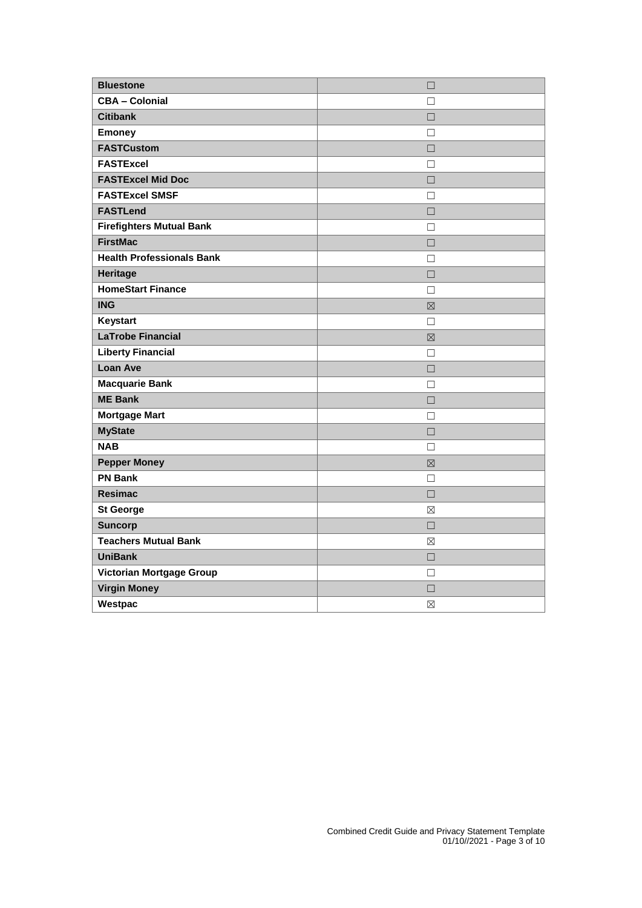| <b>Bluestone</b>                 | $\Box$      |
|----------------------------------|-------------|
| <b>CBA - Colonial</b>            | п           |
| <b>Citibank</b>                  | $\Box$      |
| <b>Emoney</b>                    | $\Box$      |
| <b>FASTCustom</b>                | $\Box$      |
| <b>FASTExcel</b>                 | $\Box$      |
| <b>FASTExcel Mid Doc</b>         | $\Box$      |
| <b>FASTExcel SMSF</b>            | $\Box$      |
| <b>FASTLend</b>                  | $\Box$      |
| <b>Firefighters Mutual Bank</b>  | П           |
| <b>FirstMac</b>                  | П           |
| <b>Health Professionals Bank</b> | $\Box$      |
| <b>Heritage</b>                  | $\Box$      |
| <b>HomeStart Finance</b>         | $\Box$      |
| <b>ING</b>                       | 冈           |
| Keystart                         | $\Box$      |
| <b>LaTrobe Financial</b>         | 区           |
| <b>Liberty Financial</b>         | $\Box$      |
| <b>Loan Ave</b>                  | $\Box$      |
| <b>Macquarie Bank</b>            | П           |
| <b>ME Bank</b>                   | $\Box$      |
| <b>Mortgage Mart</b>             | П           |
| <b>MyState</b>                   | $\Box$      |
| <b>NAB</b>                       | П           |
| <b>Pepper Money</b>              | 区           |
| <b>PN Bank</b>                   | П           |
| <b>Resimac</b>                   | $\Box$      |
| <b>St George</b>                 | ⊠           |
| <b>Suncorp</b>                   | $\Box$      |
| <b>Teachers Mutual Bank</b>      | $\boxtimes$ |
| <b>UniBank</b>                   | $\Box$      |
| Victorian Mortgage Group         | П           |
| <b>Virgin Money</b>              | $\Box$      |
| Westpac                          | ⊠           |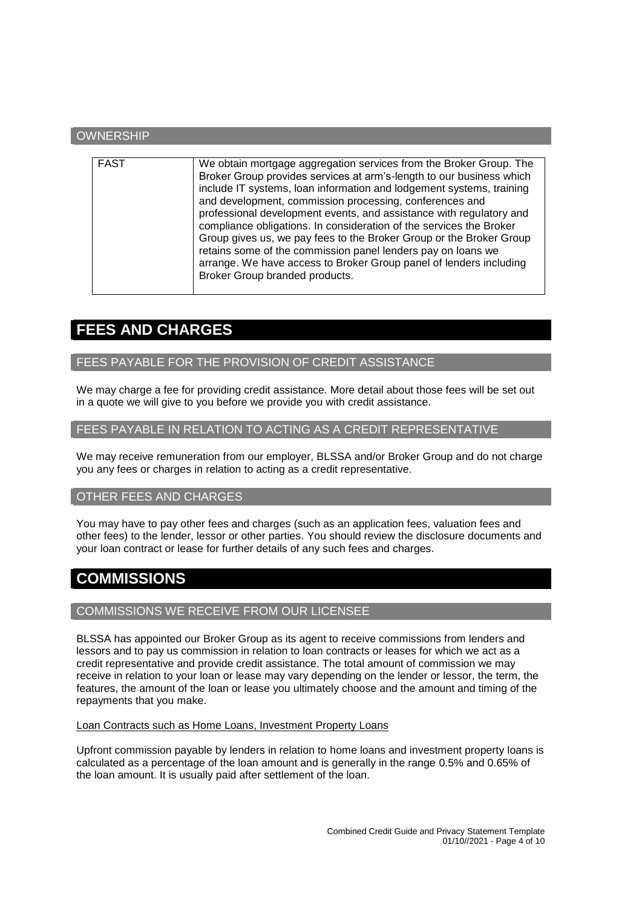# **OWNERSHIP**

| <b>FAST</b><br>We obtain mortgage aggregation services from the Broker Group. The<br>Broker Group provides services at arm's-length to our business which<br>include IT systems, loan information and lodgement systems, training<br>and development, commission processing, conferences and<br>professional development events, and assistance with regulatory and<br>compliance obligations. In consideration of the services the Broker<br>Group gives us, we pay fees to the Broker Group or the Broker Group<br>retains some of the commission panel lenders pay on loans we |
|-----------------------------------------------------------------------------------------------------------------------------------------------------------------------------------------------------------------------------------------------------------------------------------------------------------------------------------------------------------------------------------------------------------------------------------------------------------------------------------------------------------------------------------------------------------------------------------|
| arrange. We have access to Broker Group panel of lenders including<br>Broker Group branded products.                                                                                                                                                                                                                                                                                                                                                                                                                                                                              |

# **FEES AND CHARGES**

# FEES PAYABLE FOR THE PROVISION OF CREDIT ASSISTANCE

We may charge a fee for providing credit assistance. More detail about those fees will be set out in a quote we will give to you before we provide you with credit assistance.

# FEES PAYABLE IN RELATION TO ACTING AS A CREDIT REPRESENTATIVE

We may receive remuneration from our employer, BLSSA and/or Broker Group and do not charge you any fees or charges in relation to acting as a credit representative.

# OTHER FEES AND CHARGES

You may have to pay other fees and charges (such as an application fees, valuation fees and other fees) to the lender, lessor or other parties. You should review the disclosure documents and your loan contract or lease for further details of any such fees and charges.

# **COMMISSIONS**

# COMMISSIONS WE RECEIVE FROM OUR LICENSEE

BLSSA has appointed our Broker Group as its agent to receive commissions from lenders and lessors and to pay us commission in relation to loan contracts or leases for which we act as a credit representative and provide credit assistance. The total amount of commission we may receive in relation to your loan or lease may vary depending on the lender or lessor, the term, the features, the amount of the loan or lease you ultimately choose and the amount and timing of the repayments that you make.

#### Loan Contracts such as Home Loans, Investment Property Loans

Upfront commission payable by lenders in relation to home loans and investment property loans is calculated as a percentage of the loan amount and is generally in the range 0.5% and 0.65% of the loan amount. It is usually paid after settlement of the loan.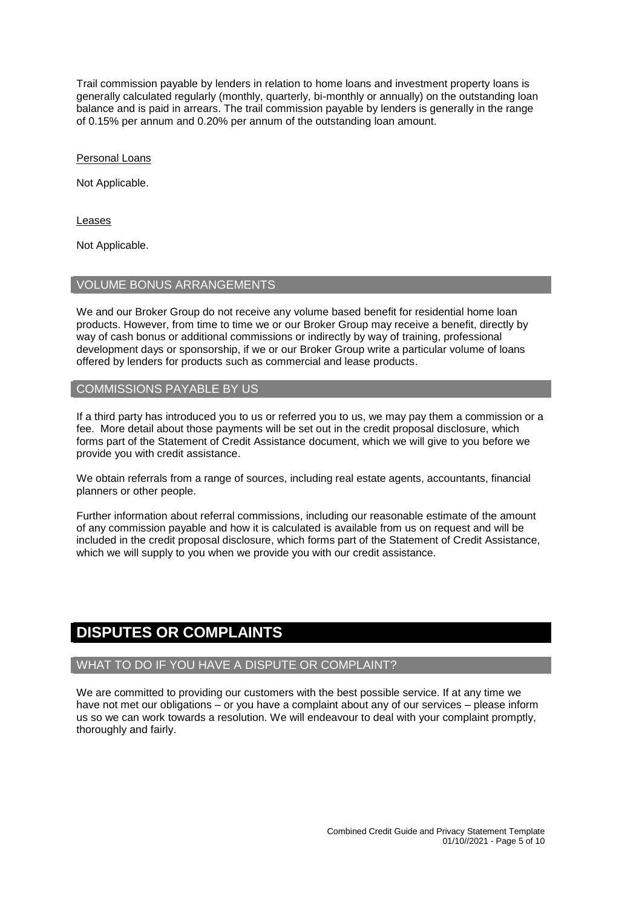Trail commission payable by lenders in relation to home loans and investment property loans is generally calculated regularly (monthly, quarterly, bi-monthly or annually) on the outstanding loan balance and is paid in arrears. The trail commission payable by lenders is generally in the range of 0.15% per annum and 0.20% per annum of the outstanding loan amount.

Personal Loans

Not Applicable.

Leases

Not Applicable.

# VOLUME BONUS ARRANGEMENTS

We and our Broker Group do not receive any volume based benefit for residential home loan products. However, from time to time we or our Broker Group may receive a benefit, directly by way of cash bonus or additional commissions or indirectly by way of training, professional development days or sponsorship, if we or our Broker Group write a particular volume of loans offered by lenders for products such as commercial and lease products.

#### COMMISSIONS PAYABLE BY US

If a third party has introduced you to us or referred you to us, we may pay them a commission or a fee. More detail about those payments will be set out in the credit proposal disclosure, which forms part of the Statement of Credit Assistance document, which we will give to you before we provide you with credit assistance.

We obtain referrals from a range of sources, including real estate agents, accountants, financial planners or other people.

Further information about referral commissions, including our reasonable estimate of the amount of any commission payable and how it is calculated is available from us on request and will be included in the credit proposal disclosure, which forms part of the Statement of Credit Assistance, which we will supply to you when we provide you with our credit assistance.

# **DISPUTES OR COMPLAINTS**

# WHAT TO DO IF YOU HAVE A DISPUTE OR COMPLAINT?

We are committed to providing our customers with the best possible service. If at any time we have not met our obligations – or you have a complaint about any of our services – please inform us so we can work towards a resolution. We will endeavour to deal with your complaint promptly, thoroughly and fairly.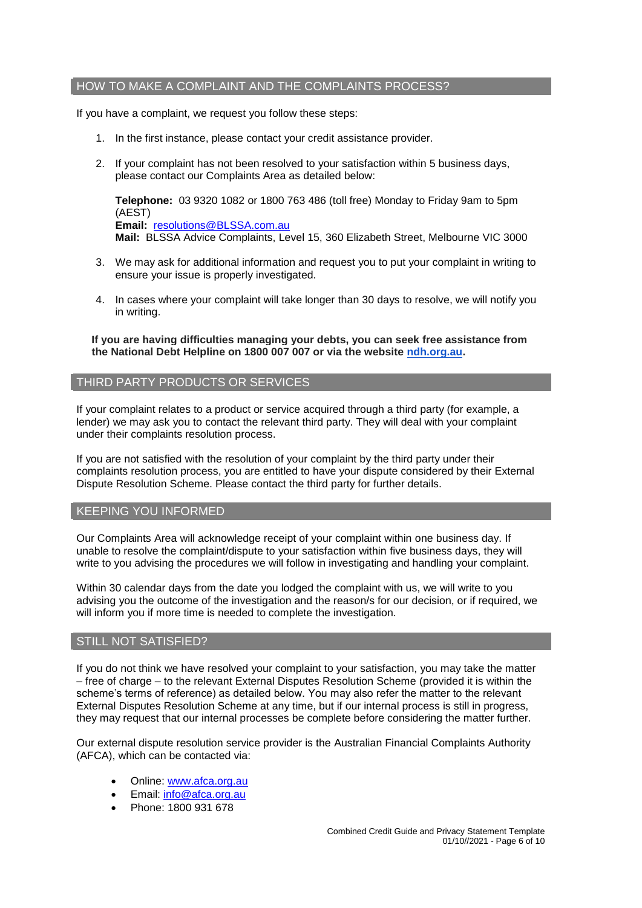# HOW TO MAKE A COMPLAINT AND THE COMPLAINTS PROCESS?

If you have a complaint, we request you follow these steps:

- 1. In the first instance, please contact your credit assistance provider.
- 2. If your complaint has not been resolved to your satisfaction within 5 business days, please contact our Complaints Area as detailed below:

**Telephone:** 03 9320 1082 or 1800 763 486 (toll free) Monday to Friday 9am to 5pm (AEST) **Email:** [resolutions@BLSSA.com.au](mailto:resolutions@BLSSA.com.au) **Mail:** BLSSA Advice Complaints, Level 15, 360 Elizabeth Street, Melbourne VIC 3000

- 3. We may ask for additional information and request you to put your complaint in writing to ensure your issue is properly investigated.
- 4. In cases where your complaint will take longer than 30 days to resolve, we will notify you in writing.

#### **If you are having difficulties managing your debts, you can seek free assistance from the National Debt Helpline on 1800 007 007 or via the website [ndh.org.au.](http://ndh.org.au/)**

#### THIRD PARTY PRODUCTS OR SERVICES

If your complaint relates to a product or service acquired through a third party (for example, a lender) we may ask you to contact the relevant third party. They will deal with your complaint under their complaints resolution process.

If you are not satisfied with the resolution of your complaint by the third party under their complaints resolution process, you are entitled to have your dispute considered by their External Dispute Resolution Scheme. Please contact the third party for further details.

#### KEEPING YOU INFORMED

Our Complaints Area will acknowledge receipt of your complaint within one business day. If unable to resolve the complaint/dispute to your satisfaction within five business days, they will write to you advising the procedures we will follow in investigating and handling your complaint.

Within 30 calendar days from the date you lodged the complaint with us, we will write to you advising you the outcome of the investigation and the reason/s for our decision, or if required, we will inform you if more time is needed to complete the investigation.

# STILL NOT SATISFIED?

If you do not think we have resolved your complaint to your satisfaction, you may take the matter – free of charge – to the relevant External Disputes Resolution Scheme (provided it is within the scheme's terms of reference) as detailed below. You may also refer the matter to the relevant External Disputes Resolution Scheme at any time, but if our internal process is still in progress, they may request that our internal processes be complete before considering the matter further.

Our external dispute resolution service provider is the Australian Financial Complaints Authority (AFCA), which can be contacted via:

- Online: [www.afca.org.au](http://www.afca.org.au/)
- Email: [info@afca.org.au](mailto:info@afc.org.au)
- Phone: 1800 931 678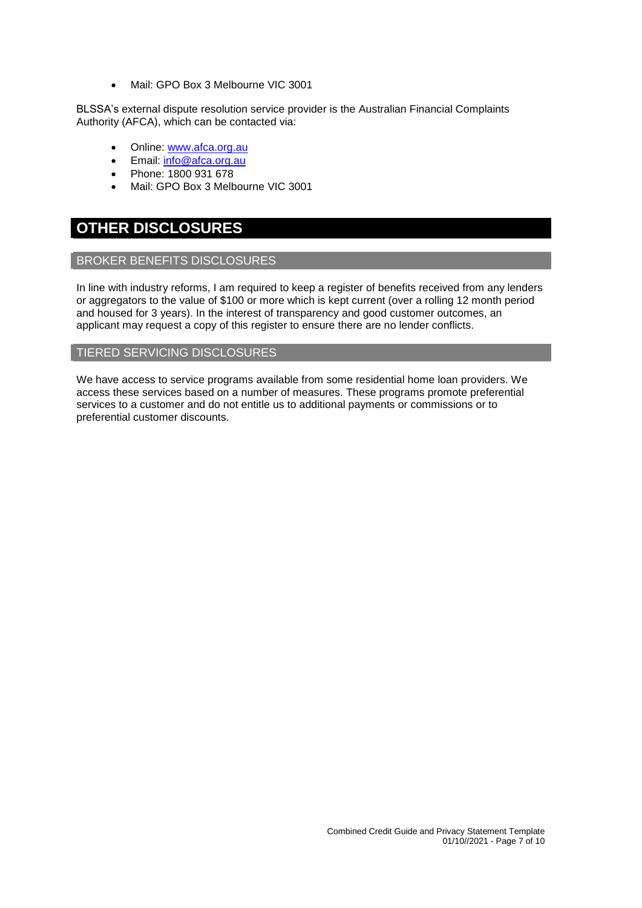Mail: GPO Box 3 Melbourne VIC 3001

BLSSA's external dispute resolution service provider is the Australian Financial Complaints Authority (AFCA), which can be contacted via:

- Online: [www.afca.org.au](http://www.afca.org.au/)
- Email: [info@afca.org.au](mailto:info@afc.org.au)
- Phone: 1800 931 678
- Mail: GPO Box 3 Melbourne VIC 3001

# **OTHER DISCLOSURES**

# BROKER BENEFITS DISCLOSURES

In line with industry reforms, I am required to keep a register of benefits received from any lenders or aggregators to the value of \$100 or more which is kept current (over a rolling 12 month period and housed for 3 years). In the interest of transparency and good customer outcomes, an applicant may request a copy of this register to ensure there are no lender conflicts.

# TIERED SERVICING DISCLOSURES

We have access to service programs available from some residential home loan providers. We access these services based on a number of measures. These programs promote preferential services to a customer and do not entitle us to additional payments or commissions or to preferential customer discounts.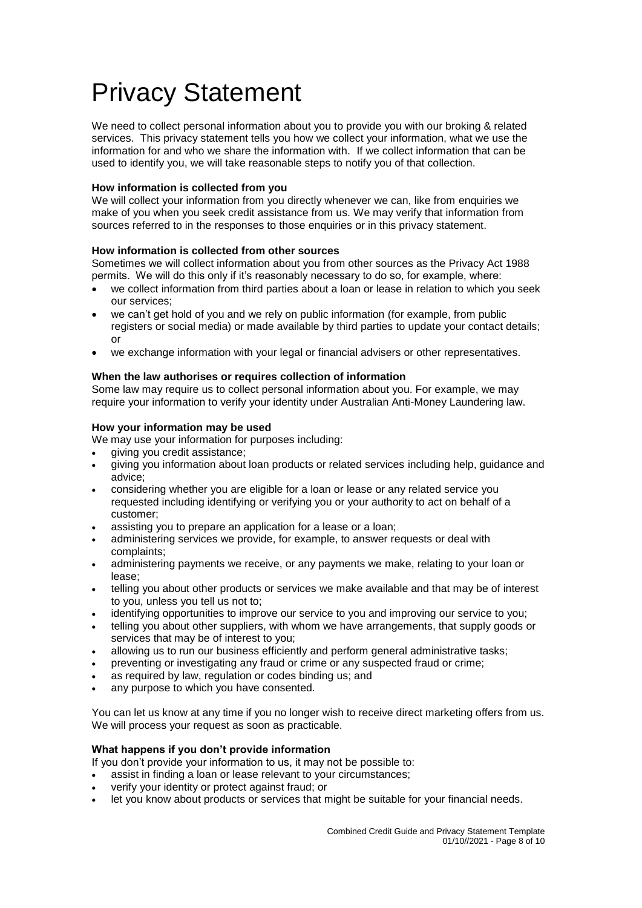# Privacy Statement

We need to collect personal information about you to provide you with our broking & related services. This privacy statement tells you how we collect your information, what we use the information for and who we share the information with. If we collect information that can be used to identify you, we will take reasonable steps to notify you of that collection.

# **How information is collected from you**

We will collect your information from you directly whenever we can, like from enquiries we make of you when you seek credit assistance from us. We may verify that information from sources referred to in the responses to those enquiries or in this privacy statement.

# **How information is collected from other sources**

Sometimes we will collect information about you from other sources as the Privacy Act 1988 permits. We will do this only if it's reasonably necessary to do so, for example, where:

- we collect information from third parties about a loan or lease in relation to which you seek our services;
- we can't get hold of you and we rely on public information (for example, from public registers or social media) or made available by third parties to update your contact details; or
- we exchange information with your legal or financial advisers or other representatives.

# **When the law authorises or requires collection of information**

Some law may require us to collect personal information about you. For example, we may require your information to verify your identity under Australian Anti-Money Laundering law.

# **How your information may be used**

We may use your information for purposes including:

- giving you credit assistance;
- giving you information about loan products or related services including help, guidance and advice;
- considering whether you are eligible for a loan or lease or any related service you requested including identifying or verifying you or your authority to act on behalf of a customer;
- assisting you to prepare an application for a lease or a loan;
- administering services we provide, for example, to answer requests or deal with complaints;
- administering payments we receive, or any payments we make, relating to your loan or lease;
- telling you about other products or services we make available and that may be of interest to you, unless you tell us not to;
- identifying opportunities to improve our service to you and improving our service to you;
- telling you about other suppliers, with whom we have arrangements, that supply goods or services that may be of interest to you;
- allowing us to run our business efficiently and perform general administrative tasks;
- preventing or investigating any fraud or crime or any suspected fraud or crime;
- as required by law, regulation or codes binding us; and
- any purpose to which you have consented.

You can let us know at any time if you no longer wish to receive direct marketing offers from us. We will process your request as soon as practicable.

# **What happens if you don't provide information**

If you don't provide your information to us, it may not be possible to:

- assist in finding a loan or lease relevant to your circumstances;
- verify your identity or protect against fraud; or
- let you know about products or services that might be suitable for your financial needs.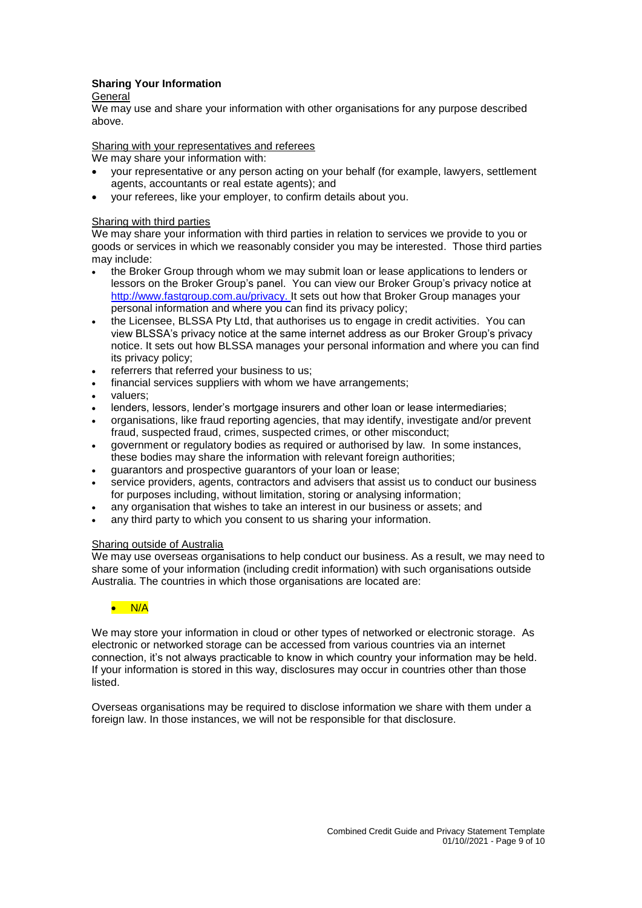# **Sharing Your Information**

#### General

We may use and share your information with other organisations for any purpose described above.

#### Sharing with your representatives and referees

We may share your information with:

- your representative or any person acting on your behalf (for example, lawyers, settlement agents, accountants or real estate agents); and
- your referees, like your employer, to confirm details about you.

#### Sharing with third parties

We may share your information with third parties in relation to services we provide to you or goods or services in which we reasonably consider you may be interested. Those third parties may include:

- the Broker Group through whom we may submit loan or lease applications to lenders or lessors on the Broker Group's panel. You can view our Broker Group's privacy notice at [http://www.fastgroup.com.au/privacy.](http://www.fastgroup.com.au/privacy) It sets out how that Broker Group manages your personal information and where you can find its privacy policy;
- the Licensee, BLSSA Pty Ltd, that authorises us to engage in credit activities. You can view BLSSA's privacy notice at the same internet address as our Broker Group's privacy notice. It sets out how BLSSA manages your personal information and where you can find its privacy policy;
- referrers that referred your business to us;
- financial services suppliers with whom we have arrangements;
- valuers;
- lenders, lessors, lender's mortgage insurers and other loan or lease intermediaries;
- organisations, like fraud reporting agencies, that may identify, investigate and/or prevent fraud, suspected fraud, crimes, suspected crimes, or other misconduct;
- government or regulatory bodies as required or authorised by law. In some instances, these bodies may share the information with relevant foreign authorities;
- guarantors and prospective guarantors of your loan or lease;
- service providers, agents, contractors and advisers that assist us to conduct our business for purposes including, without limitation, storing or analysing information;
- any organisation that wishes to take an interest in our business or assets; and
- any third party to which you consent to us sharing your information.

#### Sharing outside of Australia

We may use overseas organisations to help conduct our business. As a result, we may need to share some of your information (including credit information) with such organisations outside Australia. The countries in which those organisations are located are:

# $\bullet$  N/A

We may store your information in cloud or other types of networked or electronic storage. As electronic or networked storage can be accessed from various countries via an internet connection, it's not always practicable to know in which country your information may be held. If your information is stored in this way, disclosures may occur in countries other than those listed.

Overseas organisations may be required to disclose information we share with them under a foreign law. In those instances, we will not be responsible for that disclosure.